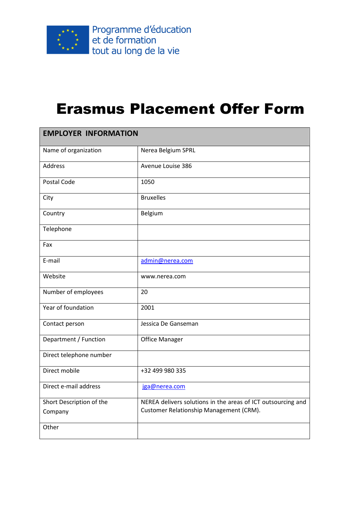

## Erasmus Placement Offer Form

| <b>EMPLOYER INFORMATION</b> |                                                              |  |
|-----------------------------|--------------------------------------------------------------|--|
| Name of organization        | Nerea Belgium SPRL                                           |  |
| Address                     | Avenue Louise 386                                            |  |
| Postal Code                 | 1050                                                         |  |
| City                        | <b>Bruxelles</b>                                             |  |
| Country                     | Belgium                                                      |  |
| Telephone                   |                                                              |  |
| Fax                         |                                                              |  |
| E-mail                      | admin@nerea.com                                              |  |
| Website                     | www.nerea.com                                                |  |
| Number of employees         | 20                                                           |  |
| Year of foundation          | 2001                                                         |  |
| Contact person              | Jessica De Ganseman                                          |  |
| Department / Function       | <b>Office Manager</b>                                        |  |
| Direct telephone number     |                                                              |  |
| Direct mobile               | +32 499 980 335                                              |  |
| Direct e-mail address       | jga@nerea.com                                                |  |
| Short Description of the    | NEREA delivers solutions in the areas of ICT outsourcing and |  |
| Company                     | Customer Relationship Management (CRM).                      |  |
| Other                       |                                                              |  |